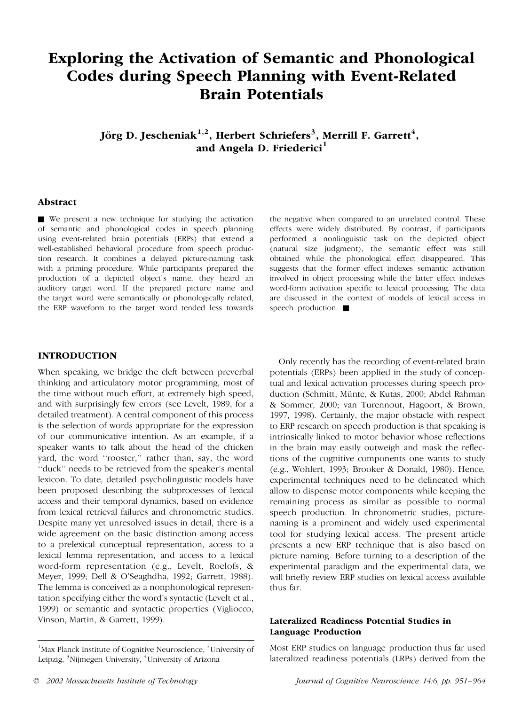# **Exploring the Activation of Semantic and Phonological Codes during Speech Planning with Event-Related Brain Potentials**

**Jo¨rg D. Jescheniak1,2 , Herbert Schriefers<sup>3</sup> , Merrill F. Garrett<sup>4</sup> , and Angela D. Friederici<sup>1</sup>**

## **Abstract**

 $\blacksquare$  We present a new technique for studying the activation of semantic and phonological codes in speech planning using event-related brain potentials (ERPs) that extend a well-established behavioral procedure from speech production research. It combines a delayed picture-naming task with a priming procedure. While participants prepared the production of a depicted object's name, they heard an auditory target word. If the prepared picture name and the target word were semantically or phonologically related, the ERP waveform to the target word tended less towards

the negative when compared to an unrelated control. These effects were widely distributed. By contrast, if participants performed a nonlinguistic task on the depicted object (natural size judgment), the semantic effect was still obtained while the phonological effect disappeared. This suggests that the former effect indexes semantic activation involved in object processing while the latter effect indexes word-form activation specific to lexical processing. The data are discussed in the context of models of lexical access in speech production.  $\blacksquare$ 

# **INTRODUCTION**

When speaking, we bridge the cleft between preverbal thinking and articulatory motor programming, most of the time without much effort, at extremely high speed, and with surprisingly few errors (see Levelt, 1989, for a detailed treatment). A central component of this process is the selection of words appropriate for the expression of our communicative intention. As an example, if a speaker wants to talk about the head of the chicken yard, the word ''rooster,'' rather than, say, the word ''duck'' needs to be retrieved from the speaker's mental lexicon. To date, detailed psycholinguistic models have been proposed describing the subprocesses of lexical access and their temporal dynamics, based on evidence from lexical retrieval failures and chronometric studies. Despite many yet unresolved issues in detail, there is a wide agreement on the basic distinction among access to a prelexical conceptual representation, access to a lexical lemma representation, and access to a lexical word-form representation (e.g., Levelt, Roelofs, & Meyer, 1999; Dell & O'Seaghdha, 1992; Garrett, 1988). The lemma is conceived as a nonphonological representation specifying either the word's syntactic (Levelt et al., 1999) or semantic and syntactic properties (Vigliocco, Vinson, Martin, & Garrett, 1999).

Only recently has the recording of event-related brain potentials (ERPs) been applied in the study of conceptual and lexical activation processes during speech production (Schmitt, Münte, & Kutas, 2000; Abdel Rahman & Sommer, 2000; van Turennout, Hagoort, & Brown, 1997, 1998). Certainly, the major obstacle with respect to ERP research on speech production is that speaking is intrinsically linked to motor behavior whose reflections in the brain may easily outweigh and mask the reflections of the cognitive components one wants to study (e.g., Wohlert, 1993; Brooker & Donald, 1980). Hence, experimental techniques need to be delineated which allow to dispense motor components while keeping the remaining process as similar as possible to normal speech production. In chronometric studies, picturenaming is a prominent and widely used experimental tool for studying lexical access. The present article presents a new ERP technique that is also based on picture naming. Before turning to a description of the experimental paradigm and the experimental data, we will briefly review ERP studies on lexical access available thus far.

# **Lateralized Readiness Potential Studies in Language Production**

Most ERP studies on language production thus far used lateralized readiness potentials (LRPs) derived from the

 $1$ Max Planck Institute of Cognitive Neuroscience,  $2$ University of Leipzig,  $3$ Nijmegen University,  $4$ University of Arizona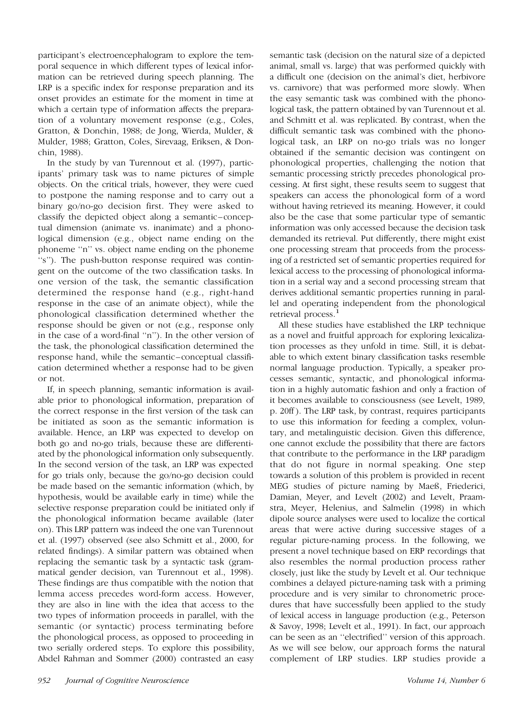participant's electroencephalogram to explore the temporal sequence in which different types of lexical information can be retrieved during speech planning. The LRP is a specific index for response preparation and its onset provides an estimate for the moment in time at which a certain type of information affects the preparation of a voluntary movement response (e.g., Coles, Gratton, & Donchin, 1988; de Jong, Wierda, Mulder, & Mulder, 1988; Gratton, Coles, Sirevaag, Eriksen, & Donchin, 1988).

In the study by van Turennout et al. (1997), participants' primary task was to name pictures of simple objects. On the critical trials, however, they were cued to postpone the naming response and to carry out a binary go/no-go decision first. They were asked to classify the depicted object along a semantic–conceptual dimension (animate vs. inanimate) and a phonological dimension (e.g., object name ending on the phoneme ''n'' vs. object name ending on the phoneme ''s''). The push-button response required was contingent on the outcome of the two classification tasks. In one version of the task, the semantic classification determined the response hand (e.g., right-hand response in the case of an animate object), while the phonological classification determined whether the response should be given or not (e.g., response only in the case of a word-final ''n''). In the other version of the task, the phonological classification determined the response hand, while the semantic–conceptual classification determined whether a response had to be given or not.

If, in speech planning, semantic information is available prior to phonological information, preparation of the correct response in the first version of the task can be initiated as soon as the semantic information is available. Hence, an LRP was expected to develop on both go and no-go trials, because these are differentiated by the phonological information only subsequently. In the second version of the task, an LRP was expected for go trials only, because the go/no-go decision could be made based on the semantic information (which, by hypothesis, would be available early in time) while the selective response preparation could be initiated only if the phonological information became available (later on). This LRP pattern was indeed the one van Turennout et al. (1997) observed (see also Schmitt et al., 2000, for related findings). A similar pattern was obtained when replacing the semantic task by a syntactic task (grammatical gender decision, van Turennout et al., 1998). These findings are thus compatible with the notion that lemma access precedes word-form access. However, they are also in line with the idea that access to the two types of information proceeds in parallel, with the semantic (or syntactic) process terminating before the phonological process, as opposed to proceeding in two serially ordered steps. To explore this possibility, Abdel Rahman and Sommer (2000) contrasted an easy

semantic task (decision on the natural size of a depicted animal, small vs. large) that was performed quickly with a difficult one (decision on the animal's diet, herbivore vs. carnivore) that was performed more slowly. When the easy semantic task was combined with the phonological task, the pattern obtained by van Turennout et al. and Schmitt et al. was replicated. By contrast, when the difficult semantic task was combined with the phonological task, an LRP on no-go trials was no longer obtained if the semantic decision was contingent on phonological properties, challenging the notion that semantic processing strictly precedes phonological processing. At first sight, these results seem to suggest that speakers can access the phonological form of a word without having retrieved its meaning. However, it could also be the case that some particular type of semantic information was only accessed because the decision task demanded its retrieval. Put differently, there might exist one processing stream that proceeds from the processing of a restricted set of semantic properties required for lexical access to the processing of phonological information in a serial way and a second processing stream that derives additional semantic properties running in parallel and operating independent from the phonological retrieval process.<sup>1</sup>

All these studies have established the LRP technique as a novel and fruitful approach for exploring lexicalization processes as they unfold in time. Still, it is debatable to which extent binary classification tasks resemble normal language production. Typically, a speaker processes semantic, syntactic, and phonological information in a highly automatic fashion and only a fraction of it becomes available to consciousness (see Levelt, 1989, p. 20ff). The LRP task, by contrast, requires participants to use this information for feeding a complex, voluntary, and metalinguistic decision. Given this difference, one cannot exclude the possibility that there are factors that contribute to the performance in the LRP paradigm that do not figure in normal speaking. One step towards a solution of this problem is provided in recent MEG studies of picture naming by Maeß, Friederici, Damian, Meyer, and Levelt (2002) and Levelt, Praamstra, Meyer, Helenius, and Salmelin (1998) in which dipole source analyses were used to localize the cortical areas that were active during successive stages of a regular picture-naming process. In the following, we present a novel technique based on ERP recordings that also resembles the normal production process rather closely, just like the study by Levelt et al. Our technique combines a delayed picture-naming task with a priming procedure and is very similar to chronometric procedures that have successfully been applied to the study of lexical access in language production (e.g., Peterson & Savoy, 1998; Levelt et al., 1991). In fact, our approach can be seen as an ''electrified'' version of this approach. As we will see below, our approach forms the natural complement of LRP studies. LRP studies provide a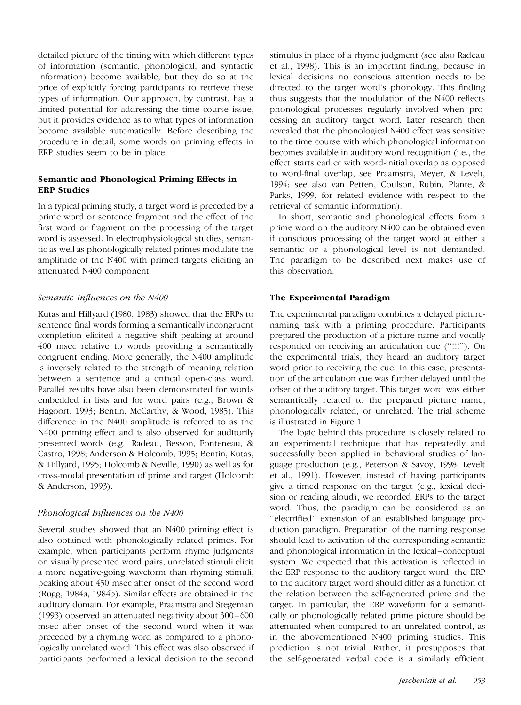detailed picture of the timing with which different types of information (semantic, phonological, and syntactic information) become available, but they do so at the price of explicitly forcing participants to retrieve these types of information. Our approach, by contrast, has a limited potential for addressing the time course issue, but it provides evidence as to what types of information become available automatically. Before describing the procedure in detail, some words on priming effects in ERP studies seem to be in place.

# **Semantic and Phonological Priming Effects in ERP Studies**

In a typical priming study, a target word is preceded by a prime word or sentence fragment and the effect of the first word or fragment on the processing of the target word is assessed. In electrophysiological studies, semantic as well as phonologically related primes modulate the amplitude of the N400 with primed targets eliciting an attenuated N400 component.

# *Semantic Influences on the N400*

Kutas and Hillyard (1980, 1983) showed that the ERPs to sentence final words forming a semantically incongruent completion elicited a negative shift peaking at around 400 msec relative to words providing a semantically congruent ending. More generally, the N400 amplitude is inversely related to the strength of meaning relation between a sentence and a critical open-class word. Parallel results have also been demonstrated for words embedded in lists and for word pairs (e.g., Brown & Hagoort, 1993; Bentin, McCarthy, & Wood, 1985). This difference in the N400 amplitude is referred to as the N400 priming effect and is also observed for auditorily presented words (e.g., Radeau, Besson, Fonteneau, & Castro, 1998; Anderson & Holcomb, 1995; Bentin, Kutas, & Hillyard, 1995; Holcomb & Neville, 1990) as well as for cross-modal presentation of prime and target (Holcomb & Anderson, 1993).

# *Phonological Influences on the N400*

Several studies showed that an N400 priming effect is also obtained with phonologically related primes. For example, when participants perform rhyme judgments on visually presented word pairs, unrelated stimuli elicit a more negative-going waveform than rhyming stimuli, peaking about 450 msec after onset of the second word (Rugg, 1984a, 1984b). Similar effects are obtained in the auditory domain. For example, Praamstra and Stegeman (1993) observed an attenuated negativity about 300 –600 msec after onset of the second word when it was preceded by a rhyming word as compared to a phonologically unrelated word. This effect was also observed if participants performed a lexical decision to the second

stimulus in place of a rhyme judgment (see also Radeau et al., 1998). This is an important finding, because in lexical decisions no conscious attention needs to be directed to the target word's phonology. This finding thus suggests that the modulation of the N400 reflects phonological processes regularly involved when processing an auditory target word. Later research then revealed that the phonological N400 effect was sensitive to the time course with which phonological information becomes available in auditory word recognition (i.e., the effect starts earlier with word-initial overlap as opposed to word-final overlap, see Praamstra, Meyer, & Levelt, 1994; see also van Petten, Coulson, Rubin, Plante, & Parks, 1999, for related evidence with respect to the retrieval of semantic information).

In short, semantic and phonological effects from a prime word on the auditory N400 can be obtained even if conscious processing of the target word at either a semantic or a phonological level is not demanded. The paradigm to be described next makes use of this observation.

# **The Experimental Paradigm**

The experimental paradigm combines a delayed picturenaming task with a priming procedure. Participants prepared the production of a picture name and vocally responded on receiving an articulation cue (''!!!''). On the experimental trials, they heard an auditory target word prior to receiving the cue. In this case, presentation of the articulation cue was further delayed until the offset of the auditory target. This target word was either semantically related to the prepared picture name, phonologically related, or unrelated. The trial scheme is illustrated in Figure 1.

The logic behind this procedure is closely related to an experimental technique that has repeatedly and successfully been applied in behavioral studies of language production (e.g., Peterson & Savoy, 1998; Levelt et al., 1991). However, instead of having participants give a timed response on the target (e.g., lexical decision or reading aloud), we recorded ERPs to the target word. Thus, the paradigm can be considered as an ''electrified'' extension of an established language production paradigm. Preparation of the naming response should lead to activation of the corresponding semantic and phonological information in the lexical–conceptual system. We expected that this activation is reflected in the ERP response to the auditory target word; the ERP to the auditory target word should differ as a function of the relation between the self-generated prime and the target. In particular, the ERP waveform for a semantically or phonologically related prime picture should be attenuated when compared to an unrelated control, as in the abovementioned N400 priming studies. This prediction is not trivial. Rather, it presupposes that the self-generated verbal code is a similarly efficient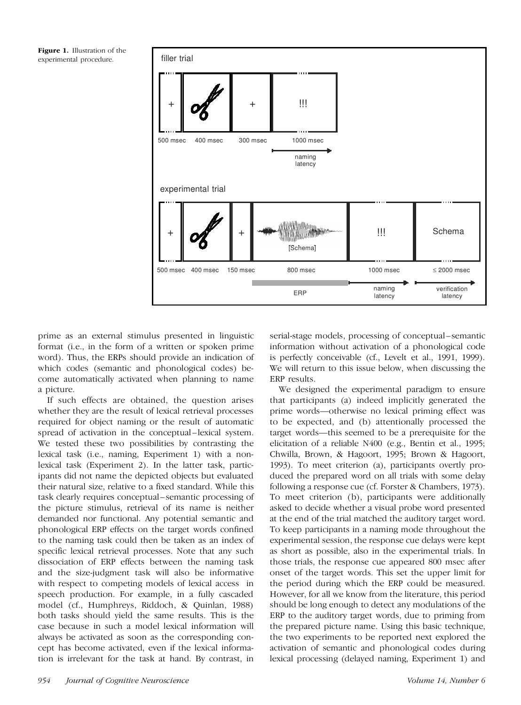**Figure 1.** Illustration of the experimental procedure.



prime as an external stimulus presented in linguistic format (i.e., in the form of a written or spoken prime word). Thus, the ERPs should provide an indication of which codes (semantic and phonological codes) become automatically activated when planning to name a picture.

If such effects are obtained, the question arises whether they are the result of lexical retrieval processes required for object naming or the result of automatic spread of activation in the conceptual –lexical system. We tested these two possibilities by contrasting the lexical task (i.e., naming, Experiment 1) with a nonlexical task (Experiment 2). In the latter task, participants did not name the depicted objects but evaluated their natural size, relative to a fixed standard. While this task clearly requires conceptual– semantic processing of the picture stimulus, retrieval of its name is neither demanded nor functional. Any potential semantic and phonological ERP effects on the target words confined to the naming task could then be taken as an index of specific lexical retrieval processes. Note that any such dissociation of ERP effects between the naming task and the size-judgment task will also be informative with respect to competing models of lexical access in speech production. For example, in a fully cascaded model (cf., Humphreys, Riddoch, & Quinlan, 1988) both tasks should yield the same results. This is the case because in such a model lexical information will always be activated as soon as the corresponding concept has become activated, even if the lexical information is irrelevant for the task at hand. By contrast, in

serial-stage models, processing of conceptual–semantic information without activation of a phonological code is perfectly conceivable (cf., Levelt et al., 1991, 1999). We will return to this issue below, when discussing the ERP results.

We designed the experimental paradigm to ensure that participants (a) indeed implicitly generated the prime words—otherwise no lexical priming effect was to be expected, and (b) attentionally processed the target words—this seemed to be a prerequisite for the elicitation of a reliable N400 (e.g., Bentin et al., 1995; Chwilla, Brown, & Hagoort, 1995; Brown & Hagoort, 1993). To meet criterion (a), participants overtly produced the prepared word on all trials with some delay following a response cue (cf. Forster & Chambers, 1973). To meet criterion (b), participants were additionally asked to decide whether a visual probe word presented at the end of the trial matched the auditory target word. To keep participants in a naming mode throughout the experimental session, the response cue delays were kept as short as possible, also in the experimental trials. In those trials, the response cue appeared 800 msec after onset of the target words. This set the upper limit for the period during which the ERP could be measured. However, for all we know from the literature, this period should be long enough to detect any modulations of the ERP to the auditory target words, due to priming from the prepared picture name. Using this basic technique, the two experiments to be reported next explored the activation of semantic and phonological codes during lexical processing (delayed naming, Experiment 1) and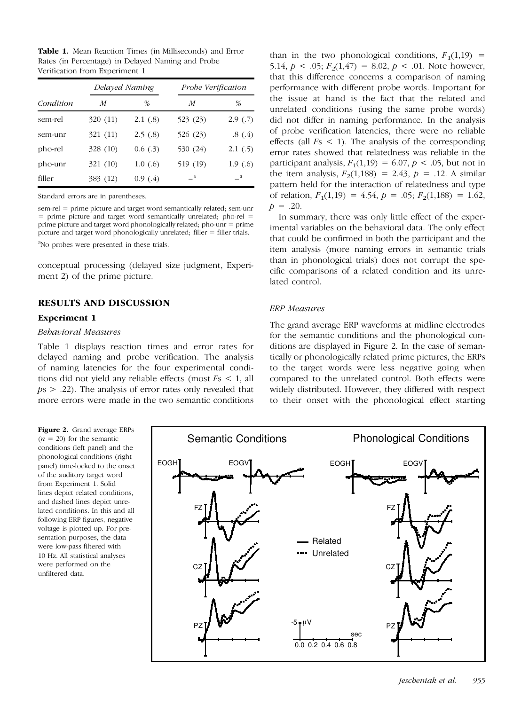**Table 1.** Mean Reaction Times (in Milliseconds) and Error Rates (in Percentage) in Delayed Naming and Probe Verification from Experiment 1

| Condition | Delayed Naming |          | Probe Verification |              |
|-----------|----------------|----------|--------------------|--------------|
|           | M              | %        | M                  | %            |
| sem-rel   | 320 (11)       | 2.1(0.8) | 523 (23)           | 2.9(7)       |
| sem-unr   | 321 (11)       | 2.5(.8)  | 526 (23)           | .8(4)        |
| pho-rel   | 328 (10)       | 0.6(0.3) | 530 (24)           | 2.1(5)       |
| pho-unr   | 321 (10)       | 1.0(6)   | 519 (19)           | 1.9(6)       |
| filler    | 383 (12)       | 0.9(4)   | $\mathbf{a}$       | <sub>a</sub> |

Standard errors are in parentheses.

sem-rel = prime picture and target word semantically related; sem-unr = prime picture and target word semantically unrelated; pho-rel = prime picture and target word phonologically related; pho-unr = prime picture and target word phonologically unrelated; filler = filler trials.

<sup>a</sup>No probes were presented in these trials.

conceptual processing (delayed size judgment, Experiment 2) of the prime picture.

# **RESULTS AND DISCUSSION**

## **Experiment 1**

## *Behavioral Measures*

Table 1 displays reaction times and error rates for delayed naming and probe verification. The analysis of naming latencies for the four experimental conditions did not yield any reliable effects (most *F*s < 1, all *p*s > .22). The analysis of error rates only revealed that more errors were made in the two semantic conditions

than in the two phonological conditions,  $F_1(1,19)$  = 5.14,  $p < .05$ ;  $F_2(1,47) = 8.02$ ,  $p < .01$ . Note however, that this difference concerns a comparison of naming performance with different probe words. Important for the issue at hand is the fact that the related and unrelated conditions (using the same probe words) did not differ in naming performance. In the analysis of probe verification latencies, there were no reliable effects (all  $Fs < 1$ ). The analysis of the corresponding error rates showed that relatedness was reliable in the participant analysis,  $F_1(1,19) = 6.07$ ,  $p < .05$ , but not in the item analysis,  $F_2(1,188) = 2.43$ ,  $p = .12$ . A similar pattern held for the interaction of relatedness and type of relation,  $F_1(1,19) = 4.54$ ,  $p = .05$ ;  $F_2(1,188) = 1.62$ ,  $p = .20$ .

In summary, there was only little effect of the experimental variables on the behavioral data. The only effect that could be confirmed in both the participant and the item analysis (more naming errors in semantic trials than in phonological trials) does not corrupt the specific comparisons of a related condition and its unrelated control.

## *ERP Measures*

The grand average ERP waveforms at midline electrodes for the semantic conditions and the phonological conditions are displayed in Figure 2. In the case of semantically or phonologically related prime pictures, the ERPs to the target words were less negative going when compared to the unrelated control. Both effects were widely distributed. However, they differed with respect to their onset with the phonological effect starting

**Figure 2.** Grand average ERPs  $(n = 20)$  for the semantic conditions (left panel) and the phonological conditions (right panel) time-locked to the onset of the auditory target word from Experiment 1. Solid lines depict related conditions, and dashed lines depict unrelated conditions. In this and all following ERP figures, negative voltage is plotted up. For presentation purposes, the data were low-pass filtered with 10 Hz. All statistical analyses were performed on the unfiltered data.

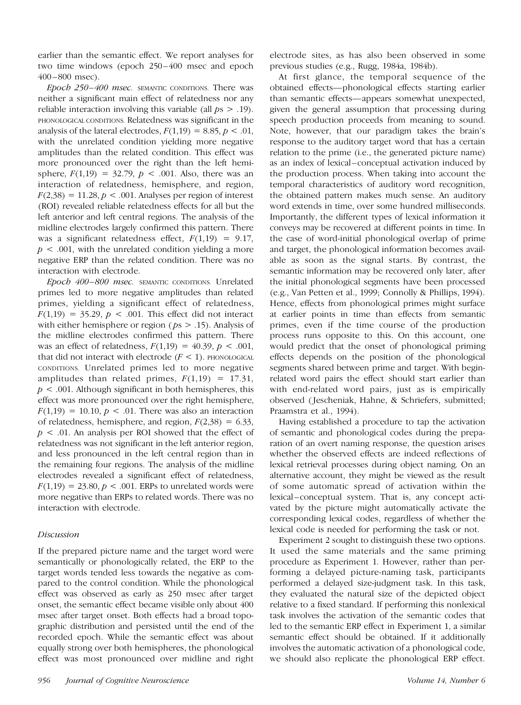earlier than the semantic effect. We report analyses for two time windows (epoch 250–400 msec and epoch 400 –800 msec).

*Epoch 250–400 msec.* SEMANTIC CONDITIONS. There was neither a significant main effect of relatedness nor any reliable interaction involving this variable (all *p*s > .19). PHONOLOGICAL CONDITIONS. Relatedness was significant in the analysis of the lateral electrodes,  $F(1,19) = 8.85$ ,  $p < .01$ , with the unrelated condition yielding more negative amplitudes than the related condition. This effect was more pronounced over the right than the left hemisphere,  $F(1,19) = 32.79$ ,  $p < .001$ . Also, there was an interaction of relatedness, hemisphere, and region,  $F(2,38) = 11.28, p < .001$ . Analyses per region of interest (ROI) revealed reliable relatedness effects for all but the left anterior and left central regions. The analysis of the midline electrodes largely confirmed this pattern. There was a significant relatedness effect, *F*(1,19) = 9.17,  $p < .001$ , with the unrelated condition yielding a more negative ERP than the related condition. There was no interaction with electrode.

*Epoch 400–800 msec.* SEMANTIC CONDITIONS. Unrelated primes led to more negative amplitudes than related primes, yielding a significant effect of relatedness,  $F(1,19) = 35.29$ ,  $p < .001$ . This effect did not interact with either hemisphere or region ( $ps > .15$ ). Analysis of the midline electrodes confirmed this pattern. There was an effect of relatedness,  $F(1,19) = 40.39, p < .001,$ that did not interact with electrode  $(F < 1)$ . PHONOLOGICAL CONDITIONS. Unrelated primes led to more negative amplitudes than related primes,  $F(1,19) = 17.31$ ,  $p < .001$ . Although significant in both hemispheres, this effect was more pronounced over the right hemisphere,  $F(1,19) = 10.10, p < .01$ . There was also an interaction of relatedness, hemisphere, and region,  $F(2,38) = 6.33$ ,  $p < .01$ . An analysis per ROI showed that the effect of relatedness was not significant in the left anterior region, and less pronounced in the left central region than in the remaining four regions. The analysis of the midline electrodes revealed a significant effect of relatedness,  $F(1,19) = 23.80, p < .001$ . ERPs to unrelated words were more negative than ERPs to related words. There was no interaction with electrode.

# *Discussion*

If the prepared picture name and the target word were semantically or phonologically related, the ERP to the target words tended less towards the negative as compared to the control condition. While the phonological effect was observed as early as 250 msec after target onset, the semantic effect became visible only about 400 msec after target onset. Both effects had a broad topographic distribution and persisted until the end of the recorded epoch. While the semantic effect was about equally strong over both hemispheres, the phonological effect was most pronounced over midline and right electrode sites, as has also been observed in some previous studies (e.g., Rugg, 1984a, 1984b).

At first glance, the temporal sequence of the obtained effects—phonological effects starting earlier than semantic effects—appears somewhat unexpected, given the general assumption that processing during speech production proceeds from meaning to sound. Note, however, that our paradigm takes the brain's response to the auditory target word that has a certain relation to the prime (i.e., the generated picture name) as an index of lexical–conceptual activation induced by the production process. When taking into account the temporal characteristics of auditory word recognition, the obtained pattern makes much sense. An auditory word extends in time, over some hundred milliseconds. Importantly, the different types of lexical information it conveys may be recovered at different points in time. In the case of word-initial phonological overlap of prime and target, the phonological information becomes available as soon as the signal starts. By contrast, the semantic information may be recovered only later, after the initial phonological segments have been processed (e.g., Van Petten et al., 1999; Connolly & Phillips, 1994). Hence, effects from phonological primes might surface at earlier points in time than effects from semantic primes, even if the time course of the production process runs opposite to this. On this account, one would predict that the onset of phonological priming effects depends on the position of the phonological segments shared between prime and target. With beginrelated word pairs the effect should start earlier than with end-related word pairs, just as is empirically observed (Jescheniak, Hahne, & Schriefers, submitted; Praamstra et al., 1994).

Having established a procedure to tap the activation of semantic and phonological codes during the preparation of an overt naming response, the question arises whether the observed effects are indeed reflections of lexical retrieval processes during object naming. On an alternative account, they might be viewed as the result of some automatic spread of activation within the lexical –conceptual system. That is, any concept activated by the picture might automatically activate the corresponding lexical codes, regardless of whether the lexical code is needed for performing the task or not.

Experiment 2 sought to distinguish these two options. It used the same materials and the same priming procedure as Experiment 1. However, rather than performing a delayed picture-naming task, participants performed a delayed size-judgment task. In this task, they evaluated the natural size of the depicted object relative to a fixed standard. If performing this nonlexical task involves the activation of the semantic codes that led to the semantic ERP effect in Experiment 1, a similar semantic effect should be obtained. If it additionally involves the automatic activation of a phonological code, we should also replicate the phonological ERP effect.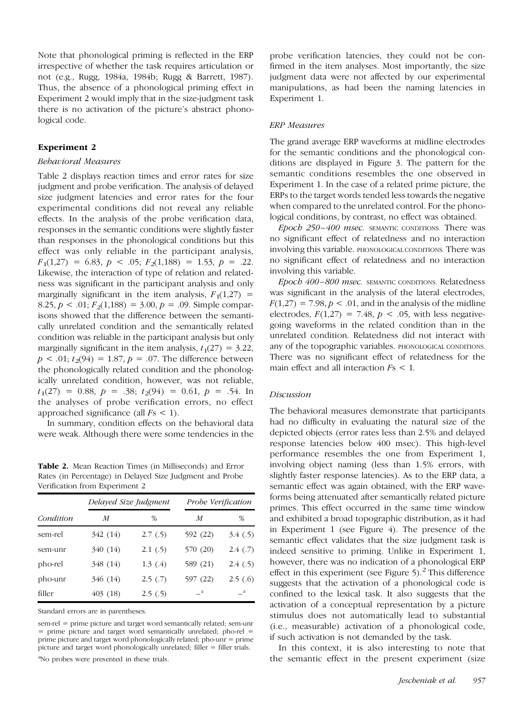Note that phonological priming is reflected in the ERP irrespective of whether the task requires articulation or not (e.g., Rugg, 1984a, 1984b; Rugg & Barrett, 1987). Thus, the absence of a phonological priming effect in Experiment 2 would imply that in the size-judgment task there is no activation of the picture's abstract phonological code.

## **Experiment 2**

#### *Behavioral Measures*

Table 2 displays reaction times and error rates for size judgment and probe verification. The analysis of delayed size judgment latencies and error rates for the four experimental conditions did not reveal any reliable effects. In the analysis of the probe verification data, responses in the semantic conditions were slightly faster than responses in the phonological conditions but this effect was only reliable in the participant analysis,  $F_1(1,27) = 6.83, p \le .05; F_2(1,188) = 1.53, p = .22.$ Likewise, the interaction of type of relation and relatedness was significant in the participant analysis and only marginally significant in the item analysis,  $F_1(1,27)$  = 8.25,  $p < .01$ ;  $F_2(1,188) = 3.00$ ,  $p = .09$ . Simple comparisons showed that the difference between the semantically unrelated condition and the semantically related condition was reliable in the participant analysis but only marginally significant in the item analysis,  $t_1(27) = 3.22$ ,  $p < .01$ ;  $t_2(94) = 1.87$ ,  $p = .07$ . The difference between the phonologically related condition and the phonologically unrelated condition, however, was not reliable,  $t_1(27) = 0.88, p = .38; t_2(94) = 0.61, p = .54.$  In the analyses of probe verification errors, no effect approached significance (all *F*s < 1).

In summary, condition effects on the behavioral data were weak. Although there were some tendencies in the

**Table 2.** Mean Reaction Times (in Milliseconds) and Error Rates (in Percentage) in Delayed Size Judgment and Probe Verification from Experiment 2

| Condition | Delayed Size Judgment |         | Probe Verification |              |
|-----------|-----------------------|---------|--------------------|--------------|
|           | M                     | %       | M                  | %            |
| sem-rel   | 342 (14)              | 2.7(5)  | 592 (22)           | 3.4(.5)      |
| sem-unr   | 340 (14)              | 2.1(5)  | 570 (20)           | 2.4(.7)      |
| pho-rel   | 348 (14)              | 1.3(4)  | 589 (21)           | 2.4(.5)      |
| pho-unr   | 346 (14)              | 2.5(.7) | 597 (22)           | 2.5(6)       |
| filler    | 403 (18)              | 2.5(.5) | $\mathbf{a}$       | $\mathbf{a}$ |

Standard errors are in parentheses.

sem-rel = prime picture and target word semantically related; sem-unr = prime picture and target word semantically unrelated; pho-rel = prime picture and target word phonologically related; pho-unr = prime picture and target word phonologically unrelated; filler = filler trials.

<sup>a</sup>No probes were presented in these trials.

probe verification latencies, they could not be confirmed in the item analyses. Most importantly, the size judgment data were not affected by our experimental manipulations, as had been the naming latencies in Experiment 1.

## *ERP Measures*

The grand average ERP waveforms at midline electrodes for the semantic conditions and the phonological conditions are displayed in Figure 3. The pattern for the semantic conditions resembles the one observed in Experiment 1. In the case of a related prime picture, the ERPs to the target words tended less towards the negative when compared to the unrelated control. For the phonological conditions, by contrast, no effect was obtained.

*Epoch 250–400 msec.* SEMANTIC CONDITIONS. There was no significant effect of relatedness and no interaction involving this variable. PHONOLOGICAL CONDITIONS. There was no significant effect of relatedness and no interaction involving this variable.

*Epoch 400–800 msec.* SEMANTIC CONDITIONS. Relatedness was significant in the analysis of the lateral electrodes,  $F(1,27) = 7.98$ ,  $p < .01$ , and in the analysis of the midline electrodes,  $F(1,27) = 7.48$ ,  $p < .05$ , with less negativegoing waveforms in the related condition than in the unrelated condition. Relatedness did not interact with any of the topographic variables. PHONOLOGICAL CONDITIONS. There was no significant effect of relatedness for the main effect and all interaction *F*s < 1.

#### *Discussion*

The behavioral measures demonstrate that participants had no difficulty in evaluating the natural size of the depicted objects (error rates less than 2.5% and delayed response latencies below 400 msec). This high-level performance resembles the one from Experiment 1, involving object naming (less than 1.5% errors, with slightly faster response latencies). As to the ERP data, a semantic effect was again obtained, with the ERP waveforms being attenuated after semantically related picture primes. This effect occurred in the same time window and exhibited a broad topographic distribution, as it had in Experiment 1 (see Figure 4). The presence of the semantic effect validates that the size judgment task is indeed sensitive to priming. Unlike in Experiment 1, however, there was no indication of a phonological ERP effect in this experiment (see Figure 5).<sup>2</sup> This difference suggests that the activation of a phonological code is confined to the lexical task. It also suggests that the activation of a conceptual representation by a picture stimulus does not automatically lead to substantial (i.e., measurable) activation of a phonological code, if such activation is not demanded by the task.

In this context, it is also interesting to note that the semantic effect in the present experiment (size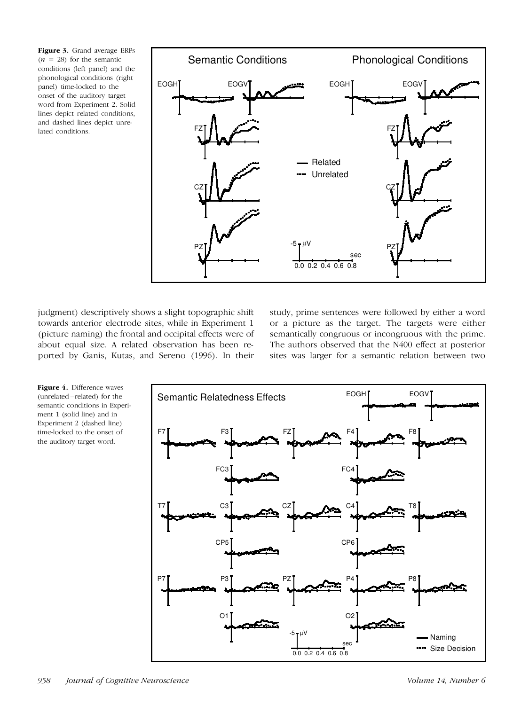**Figure 3.** Grand average ERPs  $(n = 28)$  for the semantic conditions (left panel) and the phonological conditions (right panel) time-locked to the onset of the auditory target word from Experiment 2. Solid lines depict related conditions, and dashed lines depict unrelated conditions.



judgment) descriptively shows a slight topographic shift towards anterior electrode sites, while in Experiment 1 (picture naming) the frontal and occipital effects were of about equal size. A related observation has been reported by Ganis, Kutas, and Sereno (1996). In their

study, prime sentences were followed by either a word or a picture as the target. The targets were either semantically congruous or incongruous with the prime. The authors observed that the N400 effect at posterior sites was larger for a semantic relation between two



**Figure 4.** Difference waves (unrelated – related) for the semantic conditions in Experi ment 1 (solid line) and in Experiment 2 (dashed line) time-locked to the onset of the auditory target word.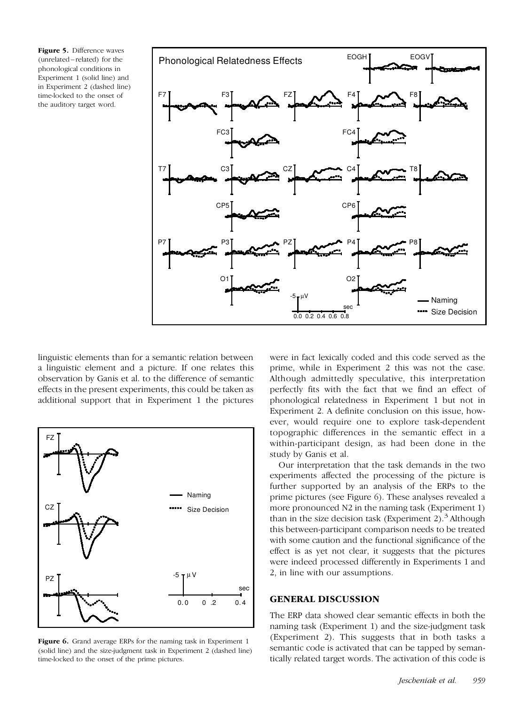**Figure 5.** Difference waves (unrelated – related) for the phonological conditions in Experiment 1 (solid line) and in Experiment 2 (dashed line) time-locked to the onset of the auditory target word.



linguistic elements than for a semantic relation between a linguistic element and a picture. If one relates this observation by Ganis et al. to the difference of semantic effects in the present experiments, this could be taken as additional support that in Experiment 1 the pictures



**Figure 6.** Grand average ERPs for the naming task in Experiment 1 (solid line) and the size-judgment task in Experiment 2 (dashed line) time-locked to the onset of the prime pictures.

were in fact lexically coded and this code served as the prime, while in Experiment 2 this was not the case. Although admittedly speculative, this interpretation perfectly fits with the fact that we find an effect of phonological relatedness in Experiment 1 but not in Experiment 2. A definite conclusion on this issue, however, would require one to explore task-dependent topographic differences in the semantic effect in a within-participant design, as had been done in the study by Ganis et al.

Our interpretation that the task demands in the two experiments affected the processing of the picture is further supported by an analysis of the ERPs to the prime pictures (see Figure 6). These analyses revealed a more pronounced N2 in the naming task (Experiment 1) than in the size decision task (Experiment 2).<sup>3</sup> Although this between-participant comparison needs to be treated with some caution and the functional significance of the effect is as yet not clear, it suggests that the pictures were indeed processed differently in Experiments 1 and 2, in line with our assumptions.

# **GENERAL DISCUSSION**

The ERP data showed clear semantic effects in both the naming task (Experiment 1) and the size-judgment task (Experiment 2). This suggests that in both tasks a semantic code is activated that can be tapped by semantically related target words. The activation of this code is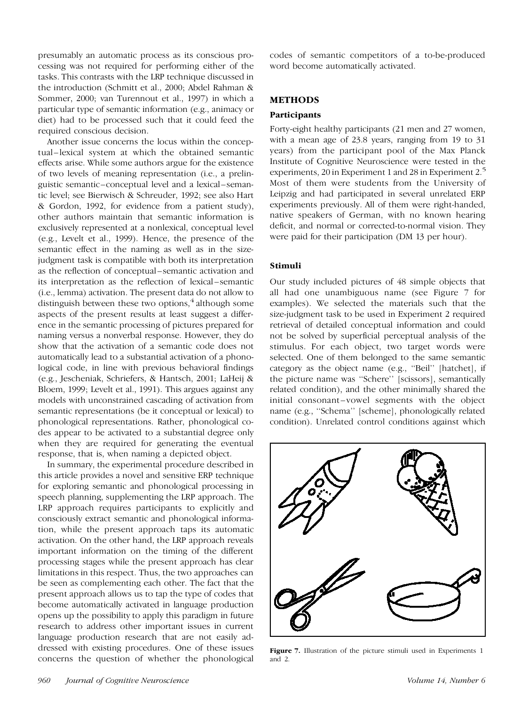presumably an automatic process as its conscious processing was not required for performing either of the tasks. This contrasts with the LRP technique discussed in the introduction (Schmitt et al., 2000; Abdel Rahman & Sommer, 2000; van Turennout et al., 1997) in which a particular type of semantic information (e.g., animacy or diet) had to be processed such that it could feed the required conscious decision.

Another issue concerns the locus within the conceptual-lexical system at which the obtained semantic effects arise. While some authors argue for the existence of two levels of meaning representation (i.e., a prelinguistic semantic–conceptual level and a lexical–semantic level; see Bierwisch & Schreuder, 1992; see also Hart & Gordon, 1992, for evidence from a patient study), other authors maintain that semantic information is exclusively represented at a nonlexical, conceptual level (e.g., Levelt et al., 1999). Hence, the presence of the semantic effect in the naming as well as in the sizejudgment task is compatible with both its interpretation as the reflection of conceptual –semantic activation and its interpretation as the reflection of lexical –semantic (i.e., lemma) activation. The present data do not allow to distinguish between these two options, $4$  although some aspects of the present results at least suggest a difference in the semantic processing of pictures prepared for naming versus a nonverbal response. However, they do show that the activation of a semantic code does not automatically lead to a substantial activation of a phonological code, in line with previous behavioral findings (e.g., Jescheniak, Schriefers, & Hantsch, 2001; LaHeij & Bloem, 1999; Levelt et al., 1991). This argues against any models with unconstrained cascading of activation from semantic representations (be it conceptual or lexical) to phonological representations. Rather, phonological codes appear to be activated to a substantial degree only when they are required for generating the eventual response, that is, when naming a depicted object.

In summary, the experimental procedure described in this article provides a novel and sensitive ERP technique for exploring semantic and phonological processing in speech planning, supplementing the LRP approach. The LRP approach requires participants to explicitly and consciously extract semantic and phonological information, while the present approach taps its automatic activation. On the other hand, the LRP approach reveals important information on the timing of the different processing stages while the present approach has clear limitations in this respect. Thus, the two approaches can be seen as complementing each other. The fact that the present approach allows us to tap the type of codes that become automatically activated in language production opens up the possibility to apply this paradigm in future research to address other important issues in current language production research that are not easily addressed with existing procedures. One of these issues concerns the question of whether the phonological codes of semantic competitors of a to-be-produced word become automatically activated.

# **METHODS**

## **Participants**

Forty-eight healthy participants (21 men and 27 women, with a mean age of 23.8 years, ranging from 19 to 31 years) from the participant pool of the Max Planck Institute of Cognitive Neuroscience were tested in the experiments, 20 in Experiment 1 and 28 in Experiment 2.<sup>5</sup> Most of them were students from the University of Leipzig and had participated in several unrelated ERP experiments previously. All of them were right-handed, native speakers of German, with no known hearing deficit, and normal or corrected-to-normal vision. They were paid for their participation (DM 13 per hour).

## **Stimuli**

Our study included pictures of 48 simple objects that all had one unambiguous name (see Figure 7 for examples). We selected the materials such that the size-judgment task to be used in Experiment 2 required retrieval of detailed conceptual information and could not be solved by superficial perceptual analysis of the stimulus. For each object, two target words were selected. One of them belonged to the same semantic category as the object name (e.g., ''Beil'' [hatchet], if the picture name was ''Schere'' [scissors], semantically related condition), and the other minimally shared the initial consonant – vowel segments with the object name (e.g., ''Schema'' [scheme], phonologically related condition). Unrelated control conditions against which



**Figure 7.** Illustration of the picture stimuli used in Experiments 1 and 2.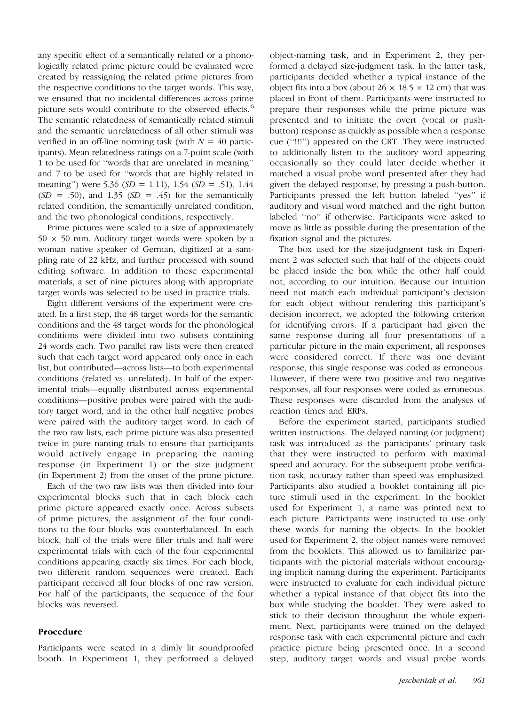any specific effect of a semantically related or a phonologically related prime picture could be evaluated were created by reassigning the related prime pictures from the respective conditions to the target words. This way, we ensured that no incidental differences across prime picture sets would contribute to the observed effects.<sup>6</sup> The semantic relatedness of semantically related stimuli and the semantic unrelatedness of all other stimuli was verified in an off-line norming task (with  $N = 40$  participants). Mean relatedness ratings on a 7-point scale (with 1 to be used for ''words that are unrelated in meaning'' and 7 to be used for ''words that are highly related in meaning'') were 5.36 (*SD* = 1.11), 1.54 (*SD* = .51), 1.44  $(SD = .50)$ , and 1.35  $(SD = .45)$  for the semantically related condition, the semantically unrelated condition, and the two phonological conditions, respectively.

Prime pictures were scaled to a size of approximately  $50 \times 50$  mm. Auditory target words were spoken by a woman native speaker of German, digitized at a sampling rate of 22 kHz, and further processed with sound editing software. In addition to these experimental materials, a set of nine pictures along with appropriate target words was selected to be used in practice trials.

Eight different versions of the experiment were created. In a first step, the 48 target words for the semantic conditions and the 48 target words for the phonological conditions were divided into two subsets containing 24 words each. Two parallel raw lists were then created such that each target word appeared only once in each list, but contributed—across lists—to both experimental conditions (related vs. unrelated). In half of the experimental trials—equally distributed across experimental conditions—positive probes were paired with the auditory target word, and in the other half negative probes were paired with the auditory target word. In each of the two raw lists, each prime picture was also presented twice in pure naming trials to ensure that participants would actively engage in preparing the naming response (in Experiment 1) or the size judgment (in Experiment 2) from the onset of the prime picture.

Each of the two raw lists was then divided into four experimental blocks such that in each block each prime picture appeared exactly once. Across subsets of prime pictures, the assignment of the four conditions to the four blocks was counterbalanced. In each block, half of the trials were filler trials and half were experimental trials with each of the four experimental conditions appearing exactly six times. For each block, two different random sequences were created. Each participant received all four blocks of one raw version. For half of the participants, the sequence of the four blocks was reversed.

# **Procedure**

Participants were seated in a dimly lit soundproofed booth. In Experiment 1, they performed a delayed

object-naming task, and in Experiment 2, they performed a delayed size-judgment task. In the latter task, participants decided whether a typical instance of the object fits into a box (about  $26 \times 18.5 \times 12$  cm) that was placed in front of them. Participants were instructed to prepare their responses while the prime picture was presented and to initiate the overt (vocal or pushbutton) response as quickly as possible when a response cue (''!!!'') appeared on the CRT. They were instructed to additionally listen to the auditory word appearing occasionally so they could later decide whether it matched a visual probe word presented after they had given the delayed response, by pressing a push-button. Participants pressed the left button labeled ''yes'' if auditory and visual word matched and the right button labeled ''no'' if otherwise. Participants were asked to move as little as possible during the presentation of the fixation signal and the pictures.

The box used for the size-judgment task in Experiment 2 was selected such that half of the objects could be placed inside the box while the other half could not, according to our intuition. Because our intuition need not match each individual participant's decision for each object without rendering this participant's decision incorrect, we adopted the following criterion for identifying errors. If a participant had given the same response during all four presentations of a particular picture in the main experiment, all responses were considered correct. If there was one deviant response, this single response was coded as erroneous. However, if there were two positive and two negative responses, all four responses were coded as erroneous. These responses were discarded from the analyses of reaction times and ERPs.

Before the experiment started, participants studied written instructions. The delayed naming (or judgment) task was introduced as the participants' primary task that they were instructed to perform with maximal speed and accuracy. For the subsequent probe verification task, accuracy rather than speed was emphasized. Participants also studied a booklet containing all picture stimuli used in the experiment. In the booklet used for Experiment 1, a name was printed next to each picture. Participants were instructed to use only these words for naming the objects. In the booklet used for Experiment 2, the object names were removed from the booklets. This allowed us to familiarize participants with the pictorial materials without encouraging implicit naming during the experiment. Participants were instructed to evaluate for each individual picture whether a typical instance of that object fits into the box while studying the booklet. They were asked to stick to their decision throughout the whole experiment. Next, participants were trained on the delayed response task with each experimental picture and each practice picture being presented once. In a second step, auditory target words and visual probe words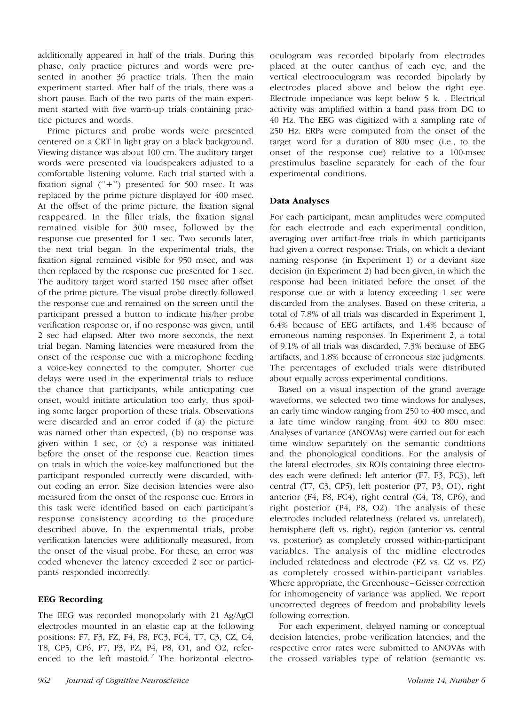additionally appeared in half of the trials. During this phase, only practice pictures and words were presented in another 36 practice trials. Then the main experiment started. After half of the trials, there was a short pause. Each of the two parts of the main experiment started with five warm-up trials containing practice pictures and words.

Prime pictures and probe words were presented centered on a CRT in light gray on a black background. Viewing distance was about 100 cm. The auditory target words were presented via loudspeakers adjusted to a comfortable listening volume. Each trial started with a fixation signal  $(''+')$  presented for 500 msec. It was replaced by the prime picture displayed for 400 msec. At the offset of the prime picture, the fixation signal reappeared. In the filler trials, the fixation signal remained visible for 300 msec, followed by the response cue presented for 1 sec. Two seconds later, the next trial began. In the experimental trials, the fixation signal remained visible for 950 msec, and was then replaced by the response cue presented for 1 sec. The auditory target word started 150 msec after offset of the prime picture. The visual probe directly followed the response cue and remained on the screen until the participant pressed a button to indicate his/her probe verification response or, if no response was given, until 2 sec had elapsed. After two more seconds, the next trial began. Naming latencies were measured from the onset of the response cue with a microphone feeding a voice-key connected to the computer. Shorter cue delays were used in the experimental trials to reduce the chance that participants, while anticipating cue onset, would initiate articulation too early, thus spoiling some larger proportion of these trials. Observations were discarded and an error coded if (a) the picture was named other than expected, (b) no response was given within 1 sec, or (c) a response was initiated before the onset of the response cue. Reaction times on trials in which the voice-key malfunctioned but the participant responded correctly were discarded, without coding an error. Size decision latencies were also measured from the onset of the response cue. Errors in this task were identified based on each participant's response consistency according to the procedure described above. In the experimental trials, probe verification latencies were additionally measured, from the onset of the visual probe. For these, an error was coded whenever the latency exceeded 2 sec or participants responded incorrectly.

# **EEG Recording**

The EEG was recorded monopolarly with 21 Ag/AgCl electrodes mounted in an elastic cap at the following positions: F7, F3, FZ, F4, F8, FC3, FC4, T7, C3, CZ, C4, T8, CP5, CP6, P7, P3, PZ, P4, P8, O1, and O2, referenced to the left mastoid.<sup>7</sup> The horizontal electrooculogram was recorded bipolarly from electrodes placed at the outer canthus of each eye, and the vertical electrooculogram was recorded bipolarly by electrodes placed above and below the right eye. Electrode impedance was kept below 5 k. . Electrical activity was amplified within a band pass from DC to 40 Hz. The EEG was digitized with a sampling rate of 250 Hz. ERPs were computed from the onset of the target word for a duration of 800 msec (i.e., to the onset of the response cue) relative to a 100-msec prestimulus baseline separately for each of the four experimental conditions.

# **Data Analyses**

For each participant, mean amplitudes were computed for each electrode and each experimental condition, averaging over artifact-free trials in which participants had given a correct response. Trials, on which a deviant naming response (in Experiment 1) or a deviant size decision (in Experiment 2) had been given, in which the response had been initiated before the onset of the response cue or with a latency exceeding 1 sec were discarded from the analyses. Based on these criteria, a total of 7.8% of all trials was discarded in Experiment 1, 6.4% because of EEG artifacts, and 1.4% because of erroneous naming responses. In Experiment 2, a total of 9.1% of all trials was discarded, 7.3% because of EEG artifacts, and 1.8% because of erroneous size judgments. The percentages of excluded trials were distributed about equally across experimental conditions.

Based on a visual inspection of the grand average waveforms, we selected two time windows for analyses, an early time window ranging from 250 to 400 msec, and a late time window ranging from 400 to 800 msec. Analyses of variance (ANOVAs) were carried out for each time window separately on the semantic conditions and the phonological conditions. For the analysis of the lateral electrodes, six ROIs containing three electrodes each were defined: left anterior (F7, F3, FC3), left central (T7, C3, CP5), left posterior (P7, P3, O1), right anterior (F4, F8, FC4), right central (C4, T8, CP6), and right posterior (P4, P8, O2). The analysis of these electrodes included relatedness (related vs. unrelated), hemisphere (left vs. right), region (anterior vs. central vs. posterior) as completely crossed within-participant variables. The analysis of the midline electrodes included relatedness and electrode (FZ vs. CZ vs. PZ) as completely crossed within-participant variables. Where appropriate, the Greenhouse–Geisser correction for inhomogeneity of variance was applied. We report uncorrected degrees of freedom and probability levels following correction.

For each experiment, delayed naming or conceptual decision latencies, probe verification latencies, and the respective error rates were submitted to ANOVAs with the crossed variables type of relation (semantic vs.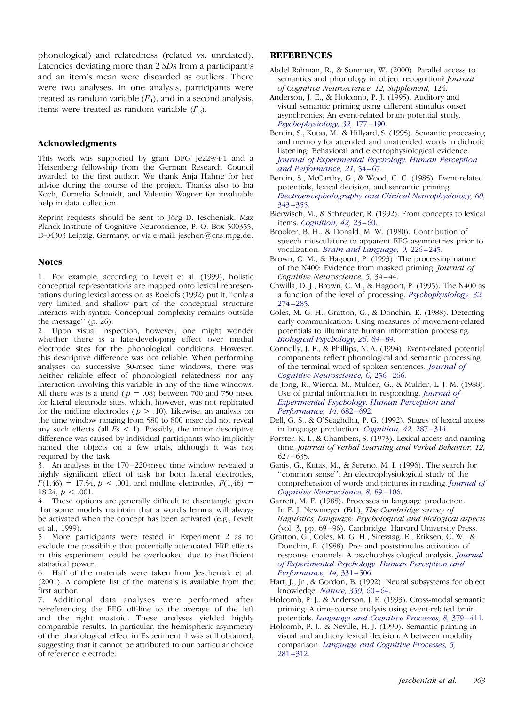phonological) and relatedness (related vs. unrelated). Latencies deviating more than 2 *SD*s from a participant's and an item's mean were discarded as outliers. There were two analyses. In one analysis, participants were treated as random variable  $(F_1)$ , and in a second analysis, items were treated as random variable  $(F_2)$ .

## **Acknowledgments**

This work was supported by grant DFG Je229/4-1 and a Heisenberg fellowship from the German Research Council awarded to the first author. We thank Anja Hahne for her advice during the course of the project. Thanks also to Ina Koch, Cornelia Schmidt, and Valentin Wagner for invaluable help in data collection.

Reprint requests should be sent to Jörg D. Jescheniak, Max Planck Institute of Cognitive Neuroscience, P. O. Box 500355, D-04303 Leipzig, Germany, or via e-mail: jeschen@cns.mpg.de.

## **Notes**

1. For example, according to Levelt et al. (1999), holistic conceptual representations are mapped onto lexical representations during lexical access or, as Roelofs (1992) put it, ''only a very limited and shallow part of the conceptual structure interacts with syntax. Conceptual complexity remains outside the message'' (p. 26).

2. Upon visual inspection, however, one might wonder whether there is a late-developing effect over medial electrode sites for the phonological conditions. However, this descriptive difference was not reliable. When performing analyses on successive 50-msec time windows, there was neither reliable effect of phonological relatedness nor any interaction involving this variable in any of the time windows. All there was is a trend ( $p = .08$ ) between 700 and 750 msec for lateral electrode sites, which, however, was not replicated for the midline electrodes ( $p > .10$ ). Likewise, an analysis on the time window ranging from 580 to 800 msec did not reveal any such effects (all  $Fs < 1$ ). Possibly, the minor descriptive difference was caused by individual participants who implicitly named the objects on a few trials, although it was not required by the task.

3. An analysis in the 170–220-msec time window revealed a highly significant effect of task for both lateral electrodes,  $F(1,46) = 17.54, p < .001$ , and midline electrodes,  $F(1,46) =$ 18.24,  $p < .001$ .

4. These options are generally difficult to disentangle given that some models maintain that a word's lemma will always be activated when the concept has been activated (e.g., Levelt et al., 1999).

5. More participants were tested in Experiment 2 as to exclude the possibility that potentially attenuated ERP effects in this experiment could be overlooked due to insufficient statistical power.

6. Half of the materials were taken from Jescheniak et al. (2001). A complete list of the materials is available from the first author.

7. Additional data analyses were performed after re-referencing the EEG off-line to the average of the left and the right mastoid. These analyses yielded highly comparable results. In particular, the hemispheric asymmetry of the phonological effect in Experiment 1 was still obtained, suggesting that it cannot be attributed to our particular choice of reference electrode.

## **REFERENCES**

- Abdel Rahman, R., & Sommer, W. (2000). Parallel access to semantics and phonology in object recognition? *Journal of Cognitive Neuroscience, 12, Supplement,* 124.
- Anderson, J. E., & Holcomb, P. J. (1995). Auditory and visual semantic priming using different stimulus onset asynchronies: An event-related brain potential study. *[Psychophysiology,](http://www.ingentaselect.com/rpsv/cgi-bin/linker?ext=a&reqidx=/0048-5772^28^2932L.177[aid=2851731]) 32,* 177 –190.
- Bentin, S., Kutas, M., & Hillyard, S. (1995). Semantic processing and memory for attended and unattended words in dichotic listening: Behavioral and electrophysiological evidence. *Journal of [Experimental](http://www.ingentaselect.com/rpsv/cgi-bin/linker?ext=a&reqidx=/0096-1523^28^2921L.54[aid=307444]) Psychology. Human Perception and [Performance,](http://www.ingentaselect.com/rpsv/cgi-bin/linker?ext=a&reqidx=/0096-1523^28^2921L.54[aid=307444]) 21,* 54 –67.
- Bentin, S., McCarthy, G., & Wood, C. C. (1985). Event-related potentials, lexical decision, and semantic priming. *[Electroencephalography](http://www.ingentaselect.com/rpsv/cgi-bin/linker?ext=a&reqidx=/0013-4694^28^2960L.343[aid=847369]) and Clinical Neurophysiology, 60,* 343 [–355.](http://www.ingentaselect.com/rpsv/cgi-bin/linker?ext=a&reqidx=/0013-4694^28^2960L.343[aid=847369])
- Bierwisch, M., & Schreuder, R. (1992). From concepts to lexical items. *[Cognition,](http://www.ingentaselect.com/rpsv/cgi-bin/linker?ext=a&reqidx=/0010-0277^28^2942L.23[aid=297489]) 42,* 23–60.
- Brooker, B. H., & Donald, M. W. (1980). Contribution of speech musculature to apparent EEG asymmetries prior to vocalization. *Brain and [Language,](http://www.ingentaselect.com/rpsv/cgi-bin/linker?ext=a&reqidx=/0093-934X^28^299L.226[aid=2851732]) 9,* 226 –245.
- Brown, C. M., & Hagoort, P. (1993). The processing nature of the N400: Evidence from masked priming. *Journal of Cognitive Neuroscience, 5,* 34 –44.
- Chwilla, D. J., Brown, C. M., & Hagoort, P. (1995). The N400 as a function of the level of processing. *[Psychophysiology,](http://www.ingentaselect.com/rpsv/cgi-bin/linker?ext=a&reqidx=/0048-5772^28^2932L.274[aid=212997]) 32,* 274 [–285.](http://www.ingentaselect.com/rpsv/cgi-bin/linker?ext=a&reqidx=/0048-5772^28^2932L.274[aid=212997])
- Coles, M. G. H., Gratton, G., & Donchin, E. (1988). Detecting early communication: Using measures of movement-related potentials to illuminate human information processing. *Biological [Psychology,](http://www.ingentaselect.com/rpsv/cgi-bin/linker?ext=a&reqidx=/0301-0511^28^2926L.69[aid=1191859]) 26,* 69 –89.
- Connolly, J. F., & Phillips, N. A. (1994). Event-related potential components reflect phonological and semantic processing of the terminal word of spoken sentences. *[Journal](http://www.ingentaselect.com/rpsv/cgi-bin/linker?ext=a&reqidx=/0898-929X^28^296L.256[aid=213235]) of Cognitive [Neuroscience,](http://www.ingentaselect.com/rpsv/cgi-bin/linker?ext=a&reqidx=/0898-929X^28^296L.256[aid=213235]) 6,* 256–266.
- de Jong, R., Wierda, M., Mulder, G., & Mulder, L. J. M. (1988). Use of partial information in responding. *[Journal](http://www.ingentaselect.com/rpsv/cgi-bin/linker?ext=a&reqidx=/0096-1523^28^2914L.682[aid=578127]) of [Experimental](http://www.ingentaselect.com/rpsv/cgi-bin/linker?ext=a&reqidx=/0096-1523^28^2914L.682[aid=578127]) Psychology. Human Perception and [Performance,](http://www.ingentaselect.com/rpsv/cgi-bin/linker?ext=a&reqidx=/0096-1523^28^2914L.682[aid=578127]) 14,* 682–692.
- Dell, G. S., & O'Seaghdha, P. G. (1992). Stages of lexical access in language production. *[Cognition,](http://www.ingentaselect.com/rpsv/cgi-bin/linker?ext=a&reqidx=/0010-0277^28^2942L.287[aid=295593]) 42,* 287 –314.
- Forster, K. I., & Chambers, S. (1973). Lexical access and naming time. *Journal of Verbal Learning and Verbal Behavior, 12,* 627 –635.
- Ganis, G., Kutas, M., & Sereno, M. I. (1996). The search for ''common sense'': An electrophysiological study of the comprehension of words and pictures in reading. *[Journal](http://www.ingentaselect.com/rpsv/cgi-bin/linker?ext=a&reqidx=/0898-929X^28^298L.89[aid=303367]) of Cognitive [Neuroscience,](http://www.ingentaselect.com/rpsv/cgi-bin/linker?ext=a&reqidx=/0898-929X^28^298L.89[aid=303367]) 8,* 89 –106.

Garrett, M. F. (1988). Processes in language production. In F. J. Newmeyer (Ed.), *The Cambridge survey of linguistics, Language: Psychological and biological aspects* (vol. 3, pp. 69 –96). Cambridge: Harvard University Press.

- Gratton, G., Coles, M. G. H., Sirevaag, E., Eriksen, C. W., & Donchin, E. (1988). Pre- and poststimulus activation of response channels: A psychophysiological analysis. *[Journal](http://www.ingentaselect.com/rpsv/cgi-bin/linker?ext=a&reqidx=/0096-1523^28^2914L.331[aid=212286]) of [Experimental](http://www.ingentaselect.com/rpsv/cgi-bin/linker?ext=a&reqidx=/0096-1523^28^2914L.331[aid=212286]) Psychology. Human Perception and [Performance,](http://www.ingentaselect.com/rpsv/cgi-bin/linker?ext=a&reqidx=/0096-1523^28^2914L.331[aid=212286]) 14,* 331–506.
- Hart, J., Jr., & Gordon, B. (1992). Neural subsystems for object knowledge. *[Nature,](http://www.ingentaselect.com/rpsv/cgi-bin/linker?ext=a&reqidx=/0028-0836^28^29359L.60[aid=295479]) 359,* 60 –64.
- Holcomb, P. J., & Anderson, J. E. (1993). Cross-modal semantic priming: A time-course analysis using event-related brain potentials. *Language and Cognitive [Processes,](http://www.ingentaselect.com/rpsv/cgi-bin/linker?ext=a&reqidx=/0169-0965^28^298L.379[aid=307454]) 8,* 379 –411.
- Holcomb, P. J., & Neville, H. J. (1990). Semantic priming in visual and auditory lexical decision. A between modality comparison. *Language and Cognitive [Processes,](http://www.ingentaselect.com/rpsv/cgi-bin/linker?ext=a&reqidx=/0169-0965^28^295L.281[aid=124475]) 5,* 281 [–312.](http://www.ingentaselect.com/rpsv/cgi-bin/linker?ext=a&reqidx=/0169-0965^28^295L.281[aid=124475])